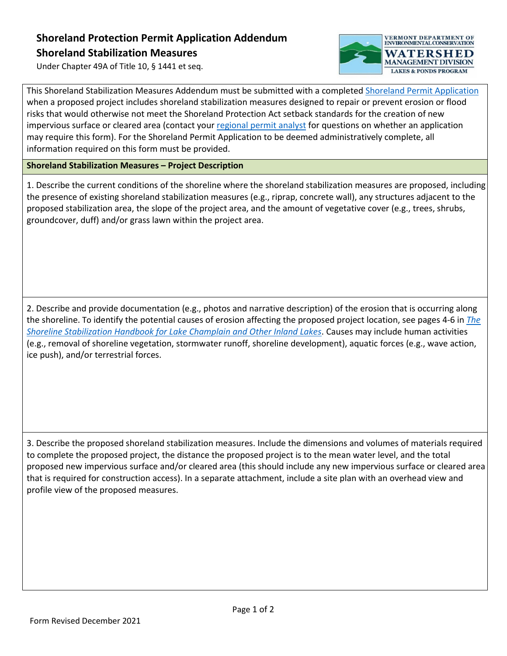## **Shoreland Protection Permit Application Addendum Shoreland Stabilization Measures**

Under Chapter 49A of Title 10, § 1441 et seq.



This Shoreland Stabilization Measures Addendum must be submitted with a completed Shoreland Permit Application when a proposed project includes shoreland stabilization measures designed to repair or prevent erosion or flood risks that would otherwise not meet the Shoreland Protection Act setback standards for the creation of new impervious surface or cleared area (contact your [regional permit analyst](https://dec.vermont.gov/watershed/lakes-ponds/permit/contact) for questions on whether an application may require this form). For the Shoreland Permit Application to be deemed administratively complete, all information required on this form must be provided.

## **Shoreland Stabilization Measures – Project Description**

1. Describe the current conditions of the shoreline where the shoreland stabilization measures are proposed, including the presence of existing shoreland stabilization measures (e.g., riprap, concrete wall), any structures adjacent to the proposed stabilization area, the slope of the project area, and the amount of vegetative cover (e.g., trees, shrubs, groundcover, duff) and/or grass lawn within the project area.

2. Describe and provide documentation (e.g., photos and narrative description) of the erosion that is occurring along the shoreline. To identify the potential causes of erosion affecting the proposed project location, see pages 4-6 in *[The](https://docs.wixstatic.com/ugd/cf375c_a264419cc7034e0ebdfe3d2e217379a2.pdf)  [Shoreline Stabilization Handbook for Lake Champlain and Other Inland Lakes](https://docs.wixstatic.com/ugd/cf375c_a264419cc7034e0ebdfe3d2e217379a2.pdf)*. Causes may include human activities (e.g., removal of shoreline vegetation, stormwater runoff, shoreline development), aquatic forces (e.g., wave action, ice push), and/or terrestrial forces.

3. Describe the proposed shoreland stabilization measures. Include the dimensions and volumes of materials required to complete the proposed project, the distance the proposed project is to the mean water level, and the total proposed new impervious surface and/or cleared area (this should include any new impervious surface or cleared area that is required for construction access). In a separate attachment, include a site plan with an overhead view and profile view of the proposed measures.